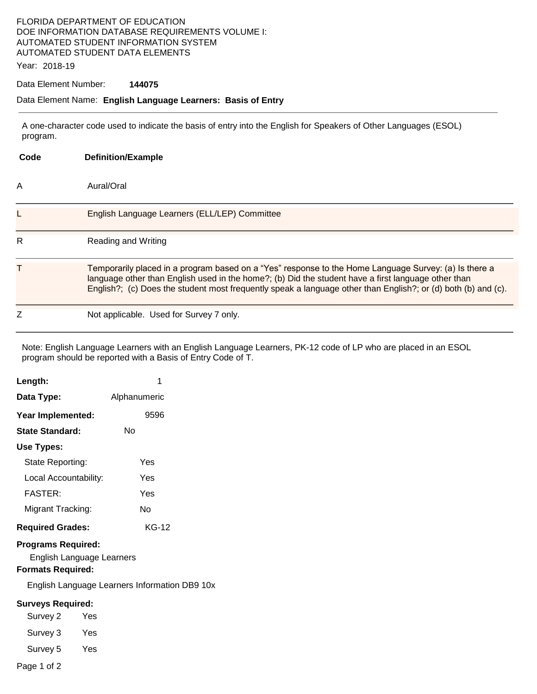# FLORIDA DEPARTMENT OF EDUCATION DOE INFORMATION DATABASE REQUIREMENTS VOLUME I: AUTOMATED STUDENT INFORMATION SYSTEM AUTOMATED STUDENT DATA ELEMENTS

Year: 2018-19

### Data Element Number: **144075**

#### Data Element Name: **English Language Learners: Basis of Entry**

A one-character code used to indicate the basis of entry into the English for Speakers of Other Languages (ESOL) program.

| Code | <b>Definition/Example</b>                                                                                                                                                                                                                                                                                                     |
|------|-------------------------------------------------------------------------------------------------------------------------------------------------------------------------------------------------------------------------------------------------------------------------------------------------------------------------------|
| Α    | Aural/Oral                                                                                                                                                                                                                                                                                                                    |
|      | English Language Learners (ELL/LEP) Committee                                                                                                                                                                                                                                                                                 |
| R    | Reading and Writing                                                                                                                                                                                                                                                                                                           |
| Т    | Temporarily placed in a program based on a "Yes" response to the Home Language Survey: (a) Is there a<br>language other than English used in the home?; (b) Did the student have a first language other than<br>English?; (c) Does the student most frequently speak a language other than English?; or (d) both (b) and (c). |
| Z    | Not applicable. Used for Survey 7 only.                                                                                                                                                                                                                                                                                       |

Note: English Language Learners with an English Language Learners, PK-12 code of LP who are placed in an ESOL program should be reported with a Basis of Entry Code of T.

| Length:                                                                            | 1            |  |  |
|------------------------------------------------------------------------------------|--------------|--|--|
| Data Type:                                                                         | Alphanumeric |  |  |
| Year Implemented:                                                                  | 9596         |  |  |
| <b>State Standard:</b>                                                             | No           |  |  |
| Use Types:                                                                         |              |  |  |
| State Reporting:                                                                   | Yes          |  |  |
| Local Accountability:                                                              | Yes          |  |  |
| <b>FASTER:</b>                                                                     | Yes          |  |  |
| Migrant Tracking:                                                                  | No           |  |  |
| <b>Required Grades:</b>                                                            | <b>KG-12</b> |  |  |
| <b>Programs Required:</b><br>English Language Learners<br><b>Formats Required:</b> |              |  |  |
| _______                                                                            |              |  |  |

English Language Learners Information DB9 10x

## **Surveys Required:**

| Survey 2 | Yes |
|----------|-----|
| Survey 3 | Yes |
| Survey 5 | Yes |

Page 1 of 2